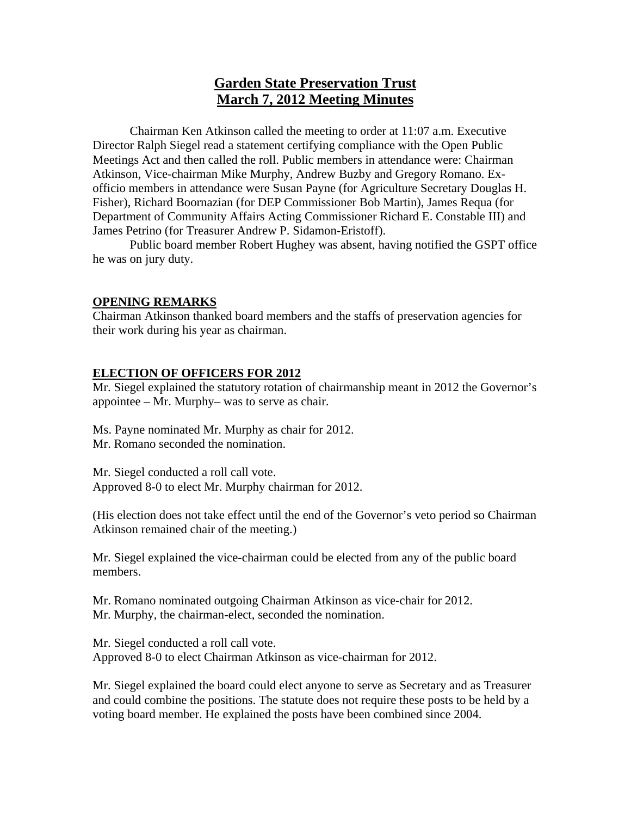# **Garden State Preservation Trust March 7, 2012 Meeting Minutes**

Chairman Ken Atkinson called the meeting to order at 11:07 a.m. Executive Director Ralph Siegel read a statement certifying compliance with the Open Public Meetings Act and then called the roll. Public members in attendance were: Chairman Atkinson, Vice-chairman Mike Murphy, Andrew Buzby and Gregory Romano. Exofficio members in attendance were Susan Payne (for Agriculture Secretary Douglas H. Fisher), Richard Boornazian (for DEP Commissioner Bob Martin), James Requa (for Department of Community Affairs Acting Commissioner Richard E. Constable III) and James Petrino (for Treasurer Andrew P. Sidamon-Eristoff).

Public board member Robert Hughey was absent, having notified the GSPT office he was on jury duty.

# **OPENING REMARKS**

Chairman Atkinson thanked board members and the staffs of preservation agencies for their work during his year as chairman.

#### **ELECTION OF OFFICERS FOR 2012**

Mr. Siegel explained the statutory rotation of chairmanship meant in 2012 the Governor's appointee – Mr. Murphy– was to serve as chair.

Ms. Payne nominated Mr. Murphy as chair for 2012. Mr. Romano seconded the nomination.

Mr. Siegel conducted a roll call vote. Approved 8-0 to elect Mr. Murphy chairman for 2012.

(His election does not take effect until the end of the Governor's veto period so Chairman Atkinson remained chair of the meeting.)

Mr. Siegel explained the vice-chairman could be elected from any of the public board members.

Mr. Romano nominated outgoing Chairman Atkinson as vice-chair for 2012. Mr. Murphy, the chairman-elect, seconded the nomination.

Mr. Siegel conducted a roll call vote. Approved 8-0 to elect Chairman Atkinson as vice-chairman for 2012.

Mr. Siegel explained the board could elect anyone to serve as Secretary and as Treasurer and could combine the positions. The statute does not require these posts to be held by a voting board member. He explained the posts have been combined since 2004.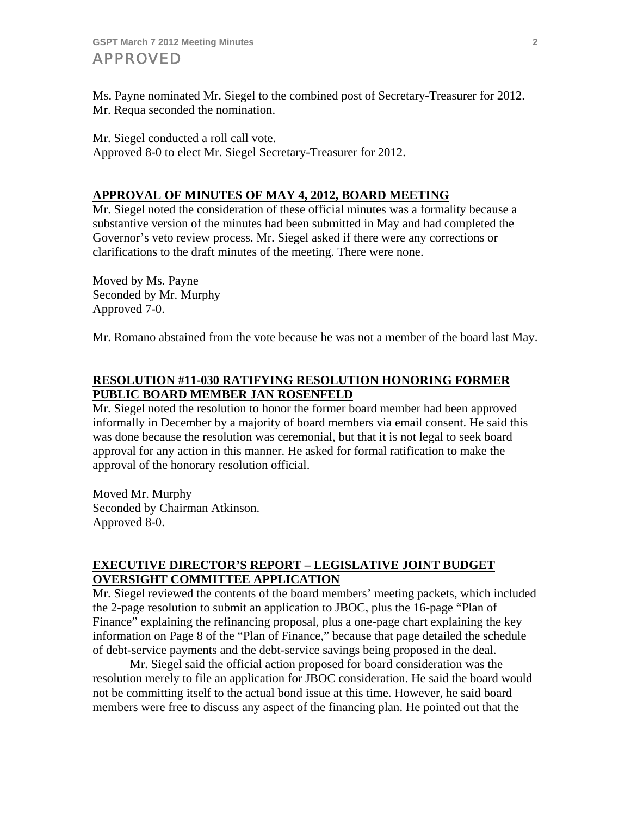Ms. Payne nominated Mr. Siegel to the combined post of Secretary-Treasurer for 2012. Mr. Requa seconded the nomination.

Mr. Siegel conducted a roll call vote. Approved 8-0 to elect Mr. Siegel Secretary-Treasurer for 2012.

# **APPROVAL OF MINUTES OF MAY 4, 2012, BOARD MEETING**

Mr. Siegel noted the consideration of these official minutes was a formality because a substantive version of the minutes had been submitted in May and had completed the Governor's veto review process. Mr. Siegel asked if there were any corrections or clarifications to the draft minutes of the meeting. There were none.

Moved by Ms. Payne Seconded by Mr. Murphy Approved 7-0.

Mr. Romano abstained from the vote because he was not a member of the board last May.

# **RESOLUTION #11-030 RATIFYING RESOLUTION HONORING FORMER PUBLIC BOARD MEMBER JAN ROSENFELD**

Mr. Siegel noted the resolution to honor the former board member had been approved informally in December by a majority of board members via email consent. He said this was done because the resolution was ceremonial, but that it is not legal to seek board approval for any action in this manner. He asked for formal ratification to make the approval of the honorary resolution official.

Moved Mr. Murphy Seconded by Chairman Atkinson. Approved 8-0.

# **EXECUTIVE DIRECTOR'S REPORT – LEGISLATIVE JOINT BUDGET OVERSIGHT COMMITTEE APPLICATION**

Mr. Siegel reviewed the contents of the board members' meeting packets, which included the 2-page resolution to submit an application to JBOC, plus the 16-page "Plan of Finance" explaining the refinancing proposal, plus a one-page chart explaining the key information on Page 8 of the "Plan of Finance," because that page detailed the schedule of debt-service payments and the debt-service savings being proposed in the deal.

 Mr. Siegel said the official action proposed for board consideration was the resolution merely to file an application for JBOC consideration. He said the board would not be committing itself to the actual bond issue at this time. However, he said board members were free to discuss any aspect of the financing plan. He pointed out that the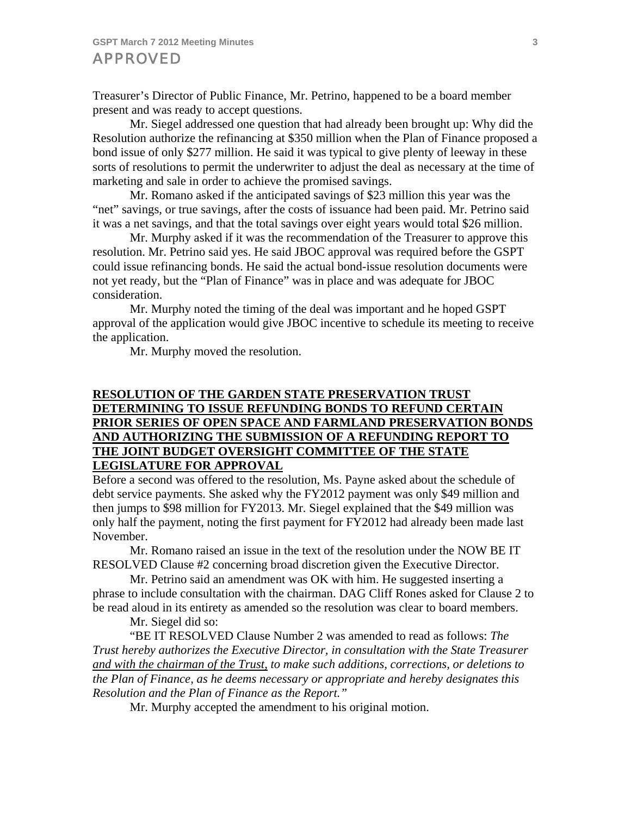Treasurer's Director of Public Finance, Mr. Petrino, happened to be a board member present and was ready to accept questions.

 Mr. Siegel addressed one question that had already been brought up: Why did the Resolution authorize the refinancing at \$350 million when the Plan of Finance proposed a bond issue of only \$277 million. He said it was typical to give plenty of leeway in these sorts of resolutions to permit the underwriter to adjust the deal as necessary at the time of marketing and sale in order to achieve the promised savings.

 Mr. Romano asked if the anticipated savings of \$23 million this year was the "net" savings, or true savings, after the costs of issuance had been paid. Mr. Petrino said it was a net savings, and that the total savings over eight years would total \$26 million.

 Mr. Murphy asked if it was the recommendation of the Treasurer to approve this resolution. Mr. Petrino said yes. He said JBOC approval was required before the GSPT could issue refinancing bonds. He said the actual bond-issue resolution documents were not yet ready, but the "Plan of Finance" was in place and was adequate for JBOC consideration.

 Mr. Murphy noted the timing of the deal was important and he hoped GSPT approval of the application would give JBOC incentive to schedule its meeting to receive the application.

Mr. Murphy moved the resolution.

# **RESOLUTION OF THE GARDEN STATE PRESERVATION TRUST DETERMINING TO ISSUE REFUNDING BONDS TO REFUND CERTAIN PRIOR SERIES OF OPEN SPACE AND FARMLAND PRESERVATION BONDS AND AUTHORIZING THE SUBMISSION OF A REFUNDING REPORT TO THE JOINT BUDGET OVERSIGHT COMMITTEE OF THE STATE LEGISLATURE FOR APPROVAL**

Before a second was offered to the resolution, Ms. Payne asked about the schedule of debt service payments. She asked why the FY2012 payment was only \$49 million and then jumps to \$98 million for FY2013. Mr. Siegel explained that the \$49 million was only half the payment, noting the first payment for FY2012 had already been made last November.

 Mr. Romano raised an issue in the text of the resolution under the NOW BE IT RESOLVED Clause #2 concerning broad discretion given the Executive Director.

 Mr. Petrino said an amendment was OK with him. He suggested inserting a phrase to include consultation with the chairman. DAG Cliff Rones asked for Clause 2 to be read aloud in its entirety as amended so the resolution was clear to board members.

Mr. Siegel did so:

 "BE IT RESOLVED Clause Number 2 was amended to read as follows: *The Trust hereby authorizes the Executive Director, in consultation with the State Treasurer and with the chairman of the Trust, to make such additions, corrections, or deletions to the Plan of Finance, as he deems necessary or appropriate and hereby designates this Resolution and the Plan of Finance as the Report."* 

Mr. Murphy accepted the amendment to his original motion.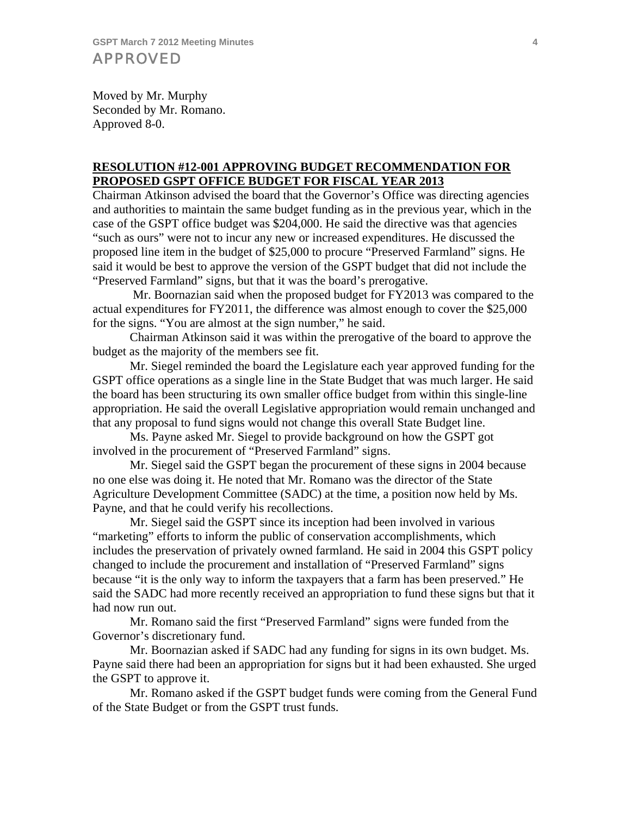Moved by Mr. Murphy Seconded by Mr. Romano. Approved 8-0.

# **RESOLUTION #12-001 APPROVING BUDGET RECOMMENDATION FOR PROPOSED GSPT OFFICE BUDGET FOR FISCAL YEAR 2013**

Chairman Atkinson advised the board that the Governor's Office was directing agencies and authorities to maintain the same budget funding as in the previous year, which in the case of the GSPT office budget was \$204,000. He said the directive was that agencies "such as ours" were not to incur any new or increased expenditures. He discussed the proposed line item in the budget of \$25,000 to procure "Preserved Farmland" signs. He said it would be best to approve the version of the GSPT budget that did not include the "Preserved Farmland" signs, but that it was the board's prerogative.

 Mr. Boornazian said when the proposed budget for FY2013 was compared to the actual expenditures for FY2011, the difference was almost enough to cover the \$25,000 for the signs. "You are almost at the sign number," he said.

 Chairman Atkinson said it was within the prerogative of the board to approve the budget as the majority of the members see fit.

 Mr. Siegel reminded the board the Legislature each year approved funding for the GSPT office operations as a single line in the State Budget that was much larger. He said the board has been structuring its own smaller office budget from within this single-line appropriation. He said the overall Legislative appropriation would remain unchanged and that any proposal to fund signs would not change this overall State Budget line.

 Ms. Payne asked Mr. Siegel to provide background on how the GSPT got involved in the procurement of "Preserved Farmland" signs.

 Mr. Siegel said the GSPT began the procurement of these signs in 2004 because no one else was doing it. He noted that Mr. Romano was the director of the State Agriculture Development Committee (SADC) at the time, a position now held by Ms. Payne, and that he could verify his recollections.

 Mr. Siegel said the GSPT since its inception had been involved in various "marketing" efforts to inform the public of conservation accomplishments, which includes the preservation of privately owned farmland. He said in 2004 this GSPT policy changed to include the procurement and installation of "Preserved Farmland" signs because "it is the only way to inform the taxpayers that a farm has been preserved." He said the SADC had more recently received an appropriation to fund these signs but that it had now run out.

 Mr. Romano said the first "Preserved Farmland" signs were funded from the Governor's discretionary fund.

 Mr. Boornazian asked if SADC had any funding for signs in its own budget. Ms. Payne said there had been an appropriation for signs but it had been exhausted. She urged the GSPT to approve it.

 Mr. Romano asked if the GSPT budget funds were coming from the General Fund of the State Budget or from the GSPT trust funds.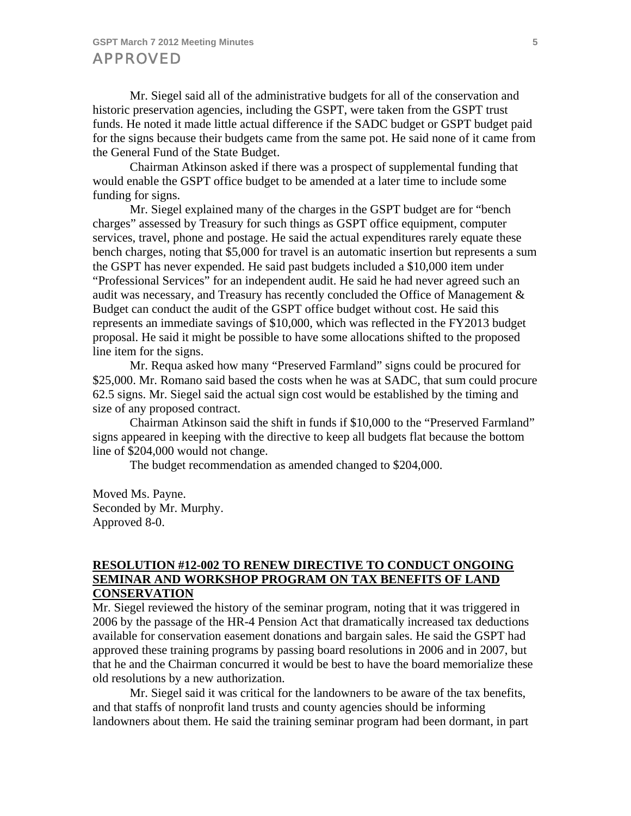Mr. Siegel said all of the administrative budgets for all of the conservation and historic preservation agencies, including the GSPT, were taken from the GSPT trust funds. He noted it made little actual difference if the SADC budget or GSPT budget paid for the signs because their budgets came from the same pot. He said none of it came from the General Fund of the State Budget.

 Chairman Atkinson asked if there was a prospect of supplemental funding that would enable the GSPT office budget to be amended at a later time to include some funding for signs.

 Mr. Siegel explained many of the charges in the GSPT budget are for "bench charges" assessed by Treasury for such things as GSPT office equipment, computer services, travel, phone and postage. He said the actual expenditures rarely equate these bench charges, noting that \$5,000 for travel is an automatic insertion but represents a sum the GSPT has never expended. He said past budgets included a \$10,000 item under "Professional Services" for an independent audit. He said he had never agreed such an audit was necessary, and Treasury has recently concluded the Office of Management & Budget can conduct the audit of the GSPT office budget without cost. He said this represents an immediate savings of \$10,000, which was reflected in the FY2013 budget proposal. He said it might be possible to have some allocations shifted to the proposed line item for the signs.

 Mr. Requa asked how many "Preserved Farmland" signs could be procured for \$25,000. Mr. Romano said based the costs when he was at SADC, that sum could procure 62.5 signs. Mr. Siegel said the actual sign cost would be established by the timing and size of any proposed contract.

 Chairman Atkinson said the shift in funds if \$10,000 to the "Preserved Farmland" signs appeared in keeping with the directive to keep all budgets flat because the bottom line of \$204,000 would not change.

The budget recommendation as amended changed to \$204,000.

Moved Ms. Payne. Seconded by Mr. Murphy. Approved 8-0.

#### **RESOLUTION #12-002 TO RENEW DIRECTIVE TO CONDUCT ONGOING SEMINAR AND WORKSHOP PROGRAM ON TAX BENEFITS OF LAND CONSERVATION**

Mr. Siegel reviewed the history of the seminar program, noting that it was triggered in 2006 by the passage of the HR-4 Pension Act that dramatically increased tax deductions available for conservation easement donations and bargain sales. He said the GSPT had approved these training programs by passing board resolutions in 2006 and in 2007, but that he and the Chairman concurred it would be best to have the board memorialize these old resolutions by a new authorization.

 Mr. Siegel said it was critical for the landowners to be aware of the tax benefits, and that staffs of nonprofit land trusts and county agencies should be informing landowners about them. He said the training seminar program had been dormant, in part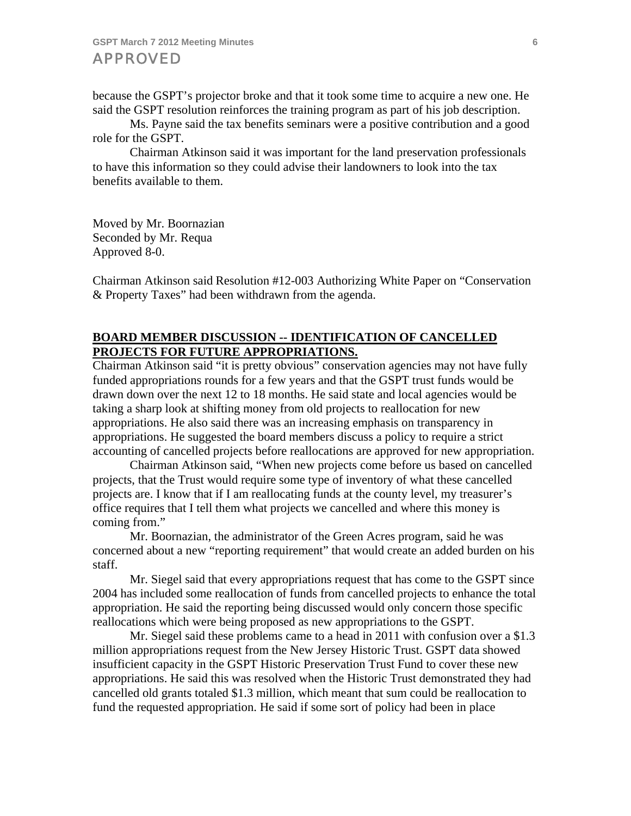because the GSPT's projector broke and that it took some time to acquire a new one. He said the GSPT resolution reinforces the training program as part of his job description.

 Ms. Payne said the tax benefits seminars were a positive contribution and a good role for the GSPT.

 Chairman Atkinson said it was important for the land preservation professionals to have this information so they could advise their landowners to look into the tax benefits available to them.

Moved by Mr. Boornazian Seconded by Mr. Requa Approved 8-0.

Chairman Atkinson said Resolution #12-003 Authorizing White Paper on "Conservation & Property Taxes" had been withdrawn from the agenda.

#### **BOARD MEMBER DISCUSSION -- IDENTIFICATION OF CANCELLED PROJECTS FOR FUTURE APPROPRIATIONS.**

Chairman Atkinson said "it is pretty obvious" conservation agencies may not have fully funded appropriations rounds for a few years and that the GSPT trust funds would be drawn down over the next 12 to 18 months. He said state and local agencies would be taking a sharp look at shifting money from old projects to reallocation for new appropriations. He also said there was an increasing emphasis on transparency in appropriations. He suggested the board members discuss a policy to require a strict accounting of cancelled projects before reallocations are approved for new appropriation.

 Chairman Atkinson said, "When new projects come before us based on cancelled projects, that the Trust would require some type of inventory of what these cancelled projects are. I know that if I am reallocating funds at the county level, my treasurer's office requires that I tell them what projects we cancelled and where this money is coming from."

 Mr. Boornazian, the administrator of the Green Acres program, said he was concerned about a new "reporting requirement" that would create an added burden on his staff.

 Mr. Siegel said that every appropriations request that has come to the GSPT since 2004 has included some reallocation of funds from cancelled projects to enhance the total appropriation. He said the reporting being discussed would only concern those specific reallocations which were being proposed as new appropriations to the GSPT.

 Mr. Siegel said these problems came to a head in 2011 with confusion over a \$1.3 million appropriations request from the New Jersey Historic Trust. GSPT data showed insufficient capacity in the GSPT Historic Preservation Trust Fund to cover these new appropriations. He said this was resolved when the Historic Trust demonstrated they had cancelled old grants totaled \$1.3 million, which meant that sum could be reallocation to fund the requested appropriation. He said if some sort of policy had been in place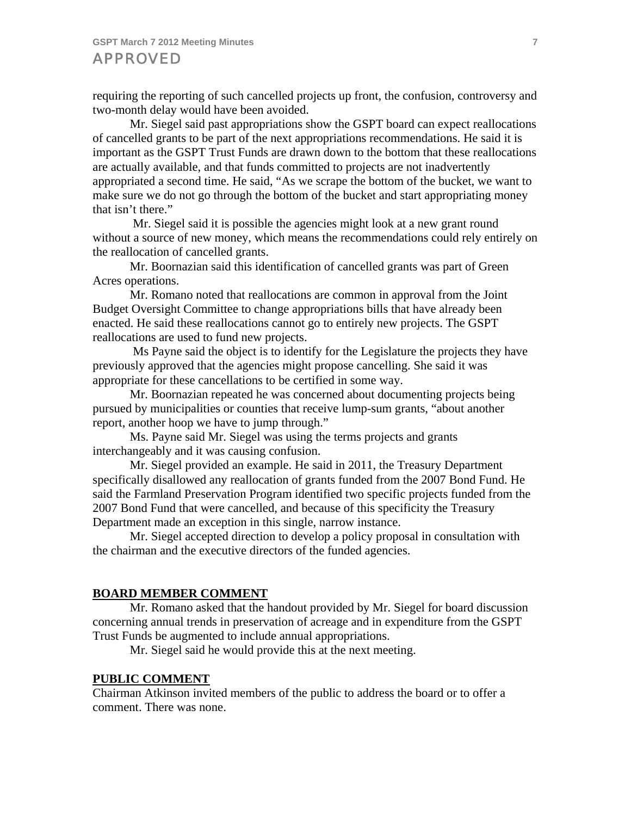requiring the reporting of such cancelled projects up front, the confusion, controversy and two-month delay would have been avoided.

 Mr. Siegel said past appropriations show the GSPT board can expect reallocations of cancelled grants to be part of the next appropriations recommendations. He said it is important as the GSPT Trust Funds are drawn down to the bottom that these reallocations are actually available, and that funds committed to projects are not inadvertently appropriated a second time. He said, "As we scrape the bottom of the bucket, we want to make sure we do not go through the bottom of the bucket and start appropriating money that isn't there."

 Mr. Siegel said it is possible the agencies might look at a new grant round without a source of new money, which means the recommendations could rely entirely on the reallocation of cancelled grants.

 Mr. Boornazian said this identification of cancelled grants was part of Green Acres operations.

 Mr. Romano noted that reallocations are common in approval from the Joint Budget Oversight Committee to change appropriations bills that have already been enacted. He said these reallocations cannot go to entirely new projects. The GSPT reallocations are used to fund new projects.

 Ms Payne said the object is to identify for the Legislature the projects they have previously approved that the agencies might propose cancelling. She said it was appropriate for these cancellations to be certified in some way.

 Mr. Boornazian repeated he was concerned about documenting projects being pursued by municipalities or counties that receive lump-sum grants, "about another report, another hoop we have to jump through."

 Ms. Payne said Mr. Siegel was using the terms projects and grants interchangeably and it was causing confusion.

 Mr. Siegel provided an example. He said in 2011, the Treasury Department specifically disallowed any reallocation of grants funded from the 2007 Bond Fund. He said the Farmland Preservation Program identified two specific projects funded from the 2007 Bond Fund that were cancelled, and because of this specificity the Treasury Department made an exception in this single, narrow instance.

 Mr. Siegel accepted direction to develop a policy proposal in consultation with the chairman and the executive directors of the funded agencies.

#### **BOARD MEMBER COMMENT**

 Mr. Romano asked that the handout provided by Mr. Siegel for board discussion concerning annual trends in preservation of acreage and in expenditure from the GSPT Trust Funds be augmented to include annual appropriations.

Mr. Siegel said he would provide this at the next meeting.

#### **PUBLIC COMMENT**

Chairman Atkinson invited members of the public to address the board or to offer a comment. There was none.